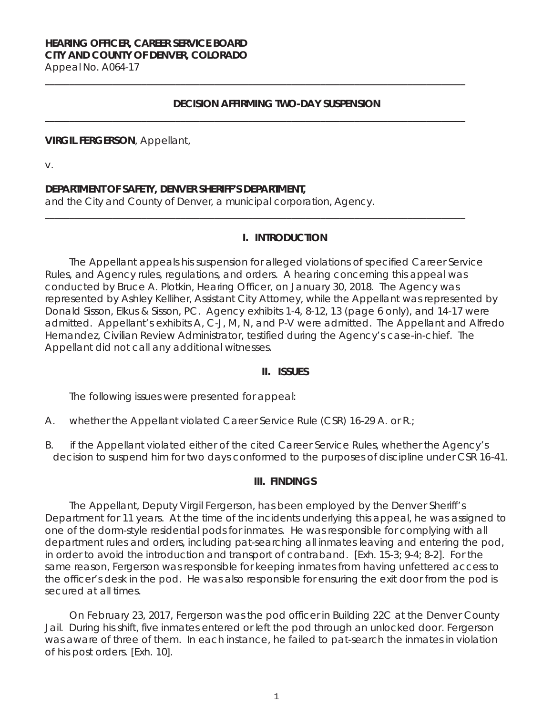### **HEARING OFFICER, CAREER SERVICE BOARD CITY AND COUNTY OF DENVER, COLORADO**  Appeal No. A064-17

**DECISION AFFIRMING TWO-DAY SUSPENSION** 

**\_\_\_\_\_\_\_\_\_\_\_\_\_\_\_\_\_\_\_\_\_\_\_\_\_\_\_\_\_\_\_\_\_\_\_\_\_\_\_\_\_\_\_\_\_\_\_\_\_\_\_\_\_\_\_\_\_\_\_\_\_\_\_\_\_\_\_\_\_\_\_\_\_\_\_\_\_\_\_\_\_\_\_\_\_\_\_**

**\_\_\_\_\_\_\_\_\_\_\_\_\_\_\_\_\_\_\_\_\_\_\_\_\_\_\_\_\_\_\_\_\_\_\_\_\_\_\_\_\_\_\_\_\_\_\_\_\_\_\_\_\_\_\_\_\_\_\_\_\_\_\_\_\_\_\_\_\_\_\_\_\_\_\_\_\_\_\_\_\_\_\_\_\_\_\_**

**\_\_\_\_\_\_\_\_\_\_\_\_\_\_\_\_\_\_\_\_\_\_\_\_\_\_\_\_\_\_\_\_\_\_\_\_\_\_\_\_\_\_\_\_\_\_\_\_\_\_\_\_\_\_\_\_\_\_\_\_\_\_\_\_\_\_\_\_\_\_\_\_\_\_\_\_\_\_\_\_\_\_\_\_\_\_\_** 

#### **VIRGIL FERGERSON**, Appellant,

v.

### **DEPARTMENT OF SAFETY, DENVER SHERIFF'S DEPARTMENT,**

and the City and County of Denver, a municipal corporation, Agency.

#### **I. INTRODUCTION**

The Appellant appeals his suspension for alleged violations of specified Career Service Rules, and Agency rules, regulations, and orders. A hearing concerning this appeal was conducted by Bruce A. Plotkin, Hearing Officer, on January 30, 2018. The Agency was represented by Ashley Kelliher, Assistant City Attorney, while the Appellant was represented by Donald Sisson, Elkus & Sisson, PC. Agency exhibits 1-4, 8-12, 13 (page 6 only), and 14-17 were admitted. Appellant's exhibits A, C-J, M, N, and P-V were admitted. The Appellant and Alfredo Hernandez, Civilian Review Administrator, testified during the Agency's case-in-chief. The Appellant did not call any additional witnesses.

#### **II. ISSUES**

The following issues were presented for appeal:

- A. whether the Appellant violated Career Service Rule (CSR) 16-29 A. or R.;
- B. if the Appellant violated either of the cited Career Service Rules, whether the Agency's decision to suspend him for two days conformed to the purposes of discipline under CSR 16-41.

#### **III. FINDINGS**

The Appellant, Deputy Virgil Fergerson, has been employed by the Denver Sheriff's Department for 11 years. At the time of the incidents underlying this appeal, he was assigned to one of the dorm-style residential pods for inmates. He was responsible for complying with all department rules and orders, including pat-searching all inmates leaving and entering the pod, in order to avoid the introduction and transport of contraband. [Exh. 15-3; 9-4; 8-2]. For the same reason, Fergerson was responsible for keeping inmates from having unfettered access to the officer's desk in the pod. He was also responsible for ensuring the exit door from the pod is secured at all times.

On February 23, 2017, Fergerson was the pod officer in Building 22C at the Denver County Jail. During his shift, five inmates entered or left the pod through an unlocked door. Fergerson was aware of three of them.In each instance, he failed to pat-search the inmates in violation of his post orders. [Exh. 10].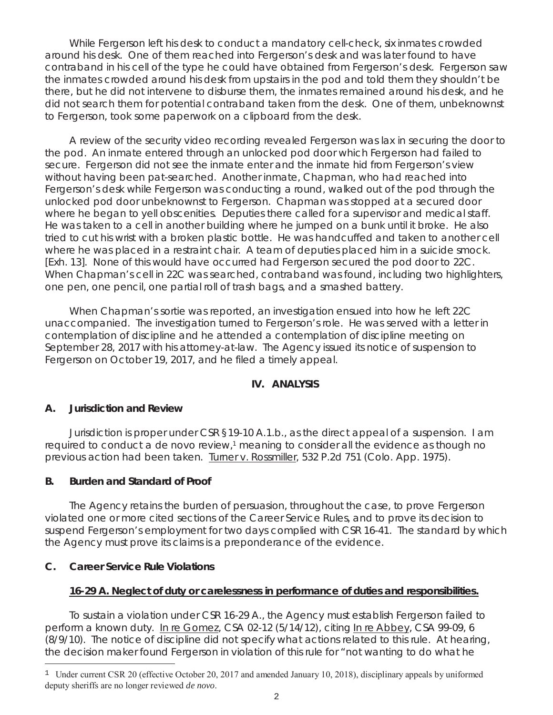While Fergerson left his desk to conduct a mandatory cell-check, six inmates crowded around his desk. One of them reached into Fergerson's desk and was later found to have contraband in his cell of the type he could have obtained from Fergerson's desk. Fergerson saw the inmates crowded around his desk from upstairs in the pod and told them they shouldn't be there, but he did not intervene to disburse them, the inmates remained around his desk, and he did not search them for potential contraband taken from the desk. One of them, unbeknownst to Fergerson, took some paperwork on a clipboard from the desk.

A review of the security video recording revealed Fergerson was lax in securing the door to the pod. An inmate entered through an unlocked pod door which Fergerson had failed to secure. Fergerson did not see the inmate enter and the inmate hid from Fergerson's view without having been pat-searched. Another inmate, Chapman, who had reached into Fergerson's desk while Fergerson was conducting a round, walked out of the pod through the unlocked pod door unbeknownst to Fergerson. Chapman was stopped at a secured door where he began to yell obscenities. Deputies there called for a supervisor and medical staff. He was taken to a cell in another building where he jumped on a bunk until it broke. He also tried to cut his wrist with a broken plastic bottle. He was handcuffed and taken to another cell where he was placed in a restraint chair. A team of deputies placed him in a suicide smock. [Exh. 13]. None of this would have occurred had Fergerson secured the pod door to 22C. When Chapman's cell in 22C was searched, contraband was found, including two highlighters, one pen, one pencil, one partial roll of trash bags, and a smashed battery.

When Chapman's sortie was reported, an investigation ensued into how he left 22C unaccompanied. The investigation turned to Fergerson's role. He was served with a letter in contemplation of discipline and he attended a contemplation of discipline meeting on September 28, 2017 with his attorney-at-law. The Agency issued its notice of suspension to Fergerson on October 19, 2017, and he filed a timely appeal.

### **IV. ANALYSIS**

### **A. Jurisdiction and Review**

Jurisdiction is proper under CSR §19-10 A.1.b., as the direct appeal of a suspension. I am required to conduct a *de novo* review,<sup>1</sup> meaning to consider all the evidence as though no previous action had been taken. Turner v. Rossmiller, 532 P.2d 751 (Colo. App. 1975).

### **B. Burden and Standard of Proof**

The Agency retains the burden of persuasion, throughout the case, to prove Fergerson violated one or more cited sections of the Career Service Rules, and to prove its decision to suspend Fergerson's employment for two days complied with CSR 16-41. The standard by which the Agency must prove its claims is a preponderance of the evidence.

### **C. Career Service Rule Violations**

i<br>T

### **16-29 A. Neglect of duty or carelessness in performance of duties and responsibilities.**

To sustain a violation under CSR 16-29 A., the Agency must establish Fergerson failed to perform a known duty. In re Gomez, CSA 02-12 (5/14/12), *citing* In re Abbey, CSA 99-09, 6 (8/9/10). The notice of discipline did not specify what actions related to this rule. At hearing, the decision maker found Fergerson in violation of this rule for "not wanting to do what he

<sup>&</sup>lt;sup>1</sup> Under current CSR 20 (effective October 20, 2017 and amended January 10, 2018), disciplinary appeals by uniformed deputy sheriffs are no longer reviewed *de novo*.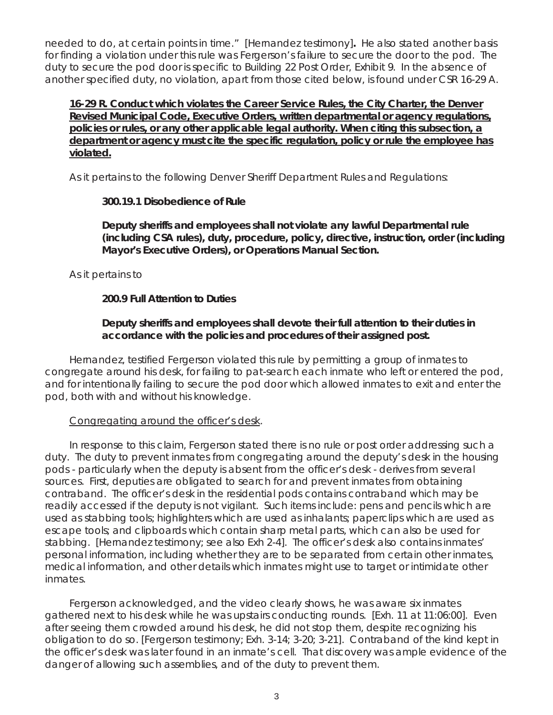needed to do, at certain points in time." [Hernandez testimony]**.** He also stated another basis for finding a violation under this rule was Fergerson's failure to secure the door to the pod. The duty to secure the pod door is specific to Building 22 Post Order, Exhibit 9. In the absence of another specified duty, no violation, apart from those cited below, is found under CSR 16-29 A.

**16-29 R. Conduct which violates the Career Service Rules, the City Charter, the Denver Revised Municipal Code, Executive Orders, written departmental or agency regulations, policies or rules, or any other applicable legal authority. When citing this subsection, a department or agency must cite the specific regulation, policy or rule the employee has violated.** 

As it pertains to the following Denver Sheriff Department Rules and Regulations:

# **300.19.1 Disobedience of Rule**

**Deputy sheriffs and employees shall not violate any lawful Departmental rule (including CSA rules), duty, procedure, policy, directive, instruction, order (including Mayor's Executive Orders), or Operations Manual Section.** 

As it pertains to

# **200.9 Full Attention to Duties**

**Deputy sheriffs and employees shall devote their full attention to their duties in accordance with the policies and procedures of their assigned post.** 

Hernandez, testified Fergerson violated this rule by permitting a group of inmates to congregate around his desk, for failing to pat-search each inmate who left or entered the pod, and for intentionally failing to secure the pod door which allowed inmates to exit and enter the pod, both with and without his knowledge.

# Congregating around the officer's desk.

In response to this claim, Fergerson stated there is no rule or post order addressing such a duty. The duty to prevent inmates from congregating around the deputy's desk in the housing pods - particularly when the deputy is absent from the officer's desk - derives from several sources. First, deputies are obligated to search for and prevent inmates from obtaining contraband. The officer's desk in the residential pods contains contraband which may be readily accessed if the deputy is not vigilant. Such items include: pens and pencils which are used as stabbing tools; highlighters which are used as inhalants; paperclips which are used as escape tools; and clipboards which contain sharp metal parts, which can also be used for stabbing. [Hernandez testimony; *see also* Exh 2-4]. The officer's desk also contains inmates' personal information, including whether they are to be separated from certain other inmates, medical information, and other details which inmates might use to target or intimidate other inmates.

Fergerson acknowledged, and the video clearly shows, he was aware six inmates gathered next to his desk while he was upstairs conducting rounds. [Exh. 11 at 11:06:00]. Even after seeing them crowded around his desk, he did not stop them, despite recognizing his obligation to do so. [Fergerson testimony; Exh. 3-14; 3-20; 3-21]. Contraband of the kind kept in the officer's desk was later found in an inmate's cell. That discovery was ample evidence of the danger of allowing such assemblies, and of the duty to prevent them.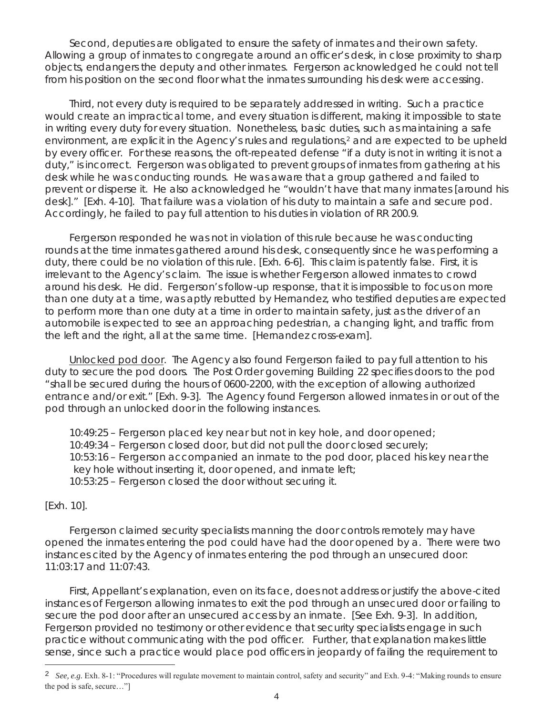Second, deputies are obligated to ensure the safety of inmates and their own safety. Allowing a group of inmates to congregate around an officer's desk, in close proximity to sharp objects, endangers the deputy and other inmates. Fergerson acknowledged he could not tell from his position on the second floor what the inmates surrounding his desk were accessing.

Third, not every duty is required to be separately addressed in writing. Such a practice would create an impractical tome, and every situation is different, making it impossible to state in writing every duty for every situation. Nonetheless, basic duties, such as maintaining a safe environment, are explicit in the Agency's rules and regulations,2 and are expected to be upheld by every officer. For these reasons, the oft-repeated defense "if a duty is not in writing it is not a duty," is incorrect. Fergerson was obligated to prevent groups of inmates from gathering at his desk while he was conducting rounds. He was aware that a group gathered and failed to prevent or disperse it. He also acknowledged he "wouldn't have that many inmates [around his desk]." [Exh. 4-10]. That failure was a violation of his duty to maintain a safe and secure pod. Accordingly, he failed to pay full attention to his duties in violation of RR 200.9.

Fergerson responded he was not in violation of this rule because he was conducting rounds at the time inmates gathered around his desk, consequently since he was performing a duty, there could be no violation of this rule. [Exh. 6-6]. This claim is patently false. First, it is irrelevant to the Agency's claim. The issue is whether Fergerson allowed inmates to crowd around his desk. He did. Fergerson's follow-up response, that it is impossible to focus on more than one duty at a time, was aptly rebutted by Hernandez, who testified deputies are expected to perform more than one duty at a time in order to maintain safety, just as the driver of an automobile is expected to see an approaching pedestrian, a changing light, and traffic from the left and the right, all at the same time. [Hernandez cross-exam].

Unlocked pod door. The Agency also found Fergerson failed to pay full attention to his duty to secure the pod doors. The Post Order governing Building 22 specifies doors to the pod "shall be secured during the hours of 0600-2200, with the exception of allowing authorized entrance and/or exit." [Exh. 9-3]. The Agency found Fergerson allowed inmates in or out of the pod through an unlocked door in the following instances.

10:49:25 – Fergerson placed key near but not in key hole, and door opened; 10:49:34 – Fergerson closed door, but did not pull the door closed securely; 10:53:16 – Fergerson accompanied an inmate to the pod door, placed his key near the key hole without inserting it, door opened, and inmate left;

10:53:25 – Fergerson closed the door without securing it.

[Exh. 10].

i<br>T

Fergerson claimed security specialists manning the door controls remotely may have opened the inmates entering the pod could have had the door opened by a. There were two instances cited by the Agency of inmates entering the pod through an unsecured door: 11:03:17 and 11:07:43.

First, Appellant's explanation, even on its face, does not address or justify the above-cited instances of Fergerson allowing inmates to exit the pod through an unsecured door or failing to secure the pod door after an unsecured access by an inmate. [*See* Exh. 9-3]. In addition, Fergerson provided no testimony or other evidence that security specialists engage in such practice without communicating with the pod officer. Further, that explanation makes little sense, since such a practice would place pod officers in jeopardy of failing the requirement to

<sup>2</sup> *See, e.g.* Exh. 8-1: "Procedures will regulate movement to maintain control, safety and security" and Exh. 9-4: "Making rounds to ensure the pod is safe, secure…"]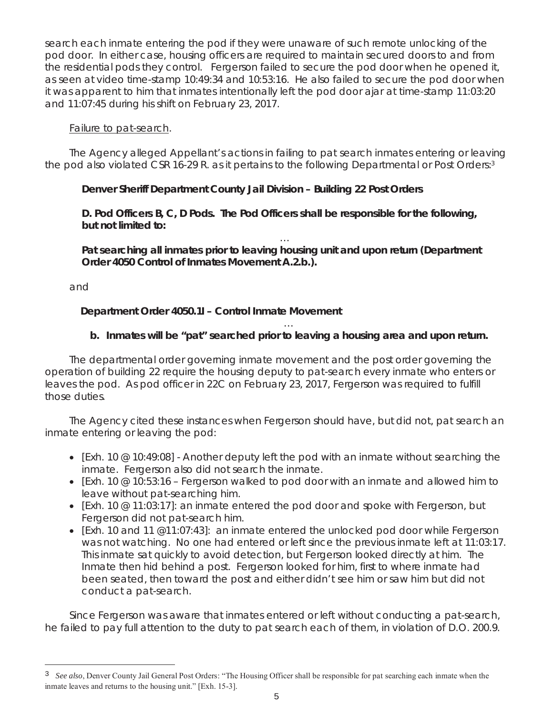search each inmate entering the pod if they were unaware of such remote unlocking of the pod door. In either case, housing officers are required to maintain secured doors to and from the residential pods they control. Fergerson failed to secure the pod door when he opened it, as seen at video time-stamp 10:49:34 and 10:53:16. He also failed to secure the pod door when it was apparent to him that inmates intentionally left the pod door ajar at time-stamp 11:03:20 and 11:07:45 during his shift on February 23, 2017.

## Failure to pat-search.

The Agency alleged Appellant's actions in failing to pat search inmates entering or leaving the pod also violated CSR 16-29 R. as it pertains to the following Departmental or Post Orders:3

# **Denver Sheriff Department County Jail Division – Building 22 Post Orders**

**D. Pod Officers B, C, D Pods. The Pod Officers shall be responsible for the following, but not limited to:** 

… **Pat searching all inmates prior to leaving housing unit and upon return (Department Order 4050 Control of Inmates Movement A.2.b.).** 

and

i<br>T

# **Department Order 4050.1I – Control Inmate Movement**

### … **b. Inmates will be "pat" searched prior to leaving a housing area and upon return.**

The departmental order governing inmate movement and the post order governing the operation of building 22 require the housing deputy to pat-search every inmate who enters or leaves the pod. As pod officer in 22C on February 23, 2017, Fergerson was required to fulfill those duties.

The Agency cited these instances when Fergerson should have, but did not, pat search an inmate entering or leaving the pod:

- [Exh. 10  $@$  10:49:08] Another deputy left the pod with an inmate without searching the inmate. Fergerson also did not search the inmate.
- [Exh. 10  $@$  10:53:16 Fergerson walked to pod door with an inmate and allowed him to leave without pat-searching him.
- [Exh. 10 @ 11:03:17]: an inmate entered the pod door and spoke with Fergerson, but Fergerson did not pat-search him.
- [Exh. 10 and 11  $@11:07:43]$ : an inmate entered the unlocked pod door while Fergerson was not watching. No one had entered or left since the previous inmate left at 11:03:17. This inmate sat quickly to avoid detection, but Fergerson looked directly at him. The Inmate then hid behind a post. Fergerson looked for him, first to where inmate had been seated, then toward the post and either didn't see him or saw him but did not conduct a pat-search.

Since Fergerson was aware that inmates entered or left without conducting a pat-search, he failed to pay full attention to the duty to pat search each of them, in violation of D.O. 200.9.

<sup>3</sup> *See also*, Denver County Jail General Post Orders: "The Housing Officer shall be responsible for pat searching each inmate when the inmate leaves and returns to the housing unit." [Exh. 15-3].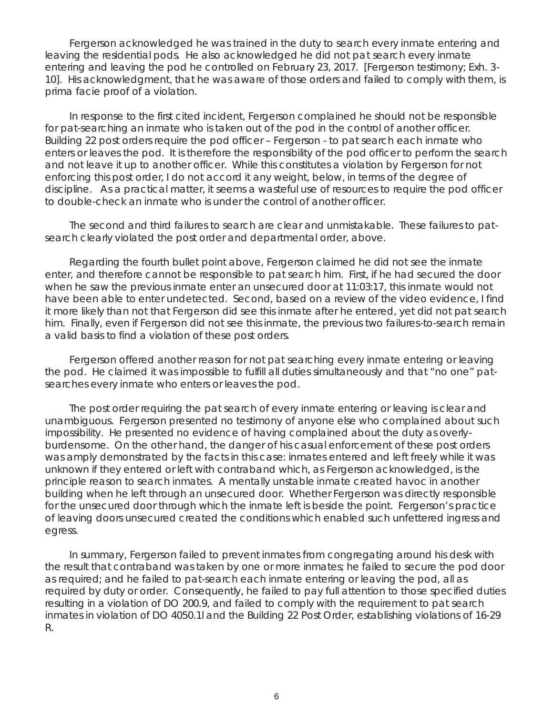Fergerson acknowledged he was trained in the duty to search every inmate entering and leaving the residential pods. He also acknowledged he did not pat search every inmate entering and leaving the pod he controlled on February 23, 2017. [Fergerson testimony; Exh. 3- 10]. His acknowledgment, that he was aware of those orders and failed to comply with them, is *prima facie* proof of a violation.

In response to the first cited incident, Fergerson complained he should not be responsible for pat-searching an inmate who is taken out of the pod in the control of another officer. Building 22 post orders require the pod officer – Fergerson - to pat search each inmate who enters or leaves the pod. It is therefore the responsibility of the pod officer to perform the search and not leave it up to another officer. While this constitutes a violation by Fergerson for not enforcing this post order, I do not accord it any weight, below, in terms of the degree of discipline. As a practical matter, it seems a wasteful use of resources to require the pod officer to double-check an inmate who is under the control of another officer.

The second and third failures to search are clear and unmistakable. These failures to patsearch clearly violated the post order and departmental order, above.

Regarding the fourth bullet point above, Fergerson claimed he did not see the inmate enter, and therefore cannot be responsible to pat search him. First, if he had secured the door when he saw the previous inmate enter an unsecured door at 11:03:17, this inmate would not have been able to enter undetected. Second, based on a review of the video evidence, I find it more likely than not that Fergerson did see this inmate after he entered, yet did not pat search him. Finally, even if Fergerson did not see this inmate, the previous two failures-to-search remain a valid basis to find a violation of these post orders.

Fergerson offered another reason for not pat searching every inmate entering or leaving the pod. He claimed it was impossible to fulfill all duties simultaneously and that "no one" patsearches every inmate who enters or leaves the pod.

The post order requiring the pat search of every inmate entering or leaving is clear and unambiguous. Fergerson presented no testimony of anyone else who complained about such impossibility. He presented no evidence of having complained about the duty as overlyburdensome. On the other hand, the danger of his casual enforcement of these post orders was amply demonstrated by the facts in this case: inmates entered and left freely while it was unknown if they entered or left with contraband which, as Fergerson acknowledged, is the principle reason to search inmates. A mentally unstable inmate created havoc in another building when he left through an unsecured door. Whether Fergerson was directly responsible for the unsecured door through which the inmate left is beside the point. Fergerson's practice of leaving doors unsecured created the conditions which enabled such unfettered ingress and egress.

In summary, Fergerson failed to prevent inmates from congregating around his desk with the result that contraband was taken by one or more inmates; he failed to secure the pod door as required; and he failed to pat-search each inmate entering or leaving the pod, all as required by duty or order. Consequently, he failed to pay full attention to those specified duties resulting in a violation of DO 200.9, and failed to comply with the requirement to pat search inmates in violation of DO 4050.1l and the Building 22 Post Order, establishing violations of 16-29 R.